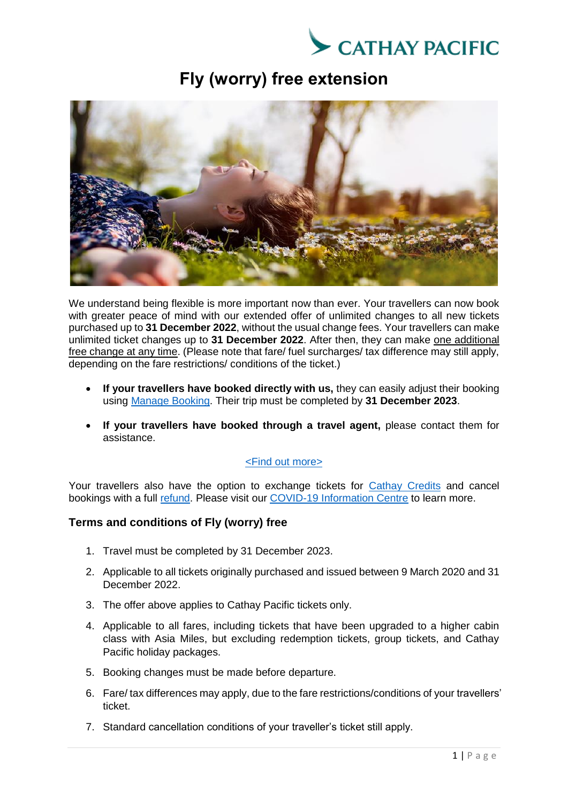

## **Fly (worry) free extension**



We understand being flexible is more important now than ever. Your travellers can now book with greater peace of mind with our extended offer of unlimited changes to all new tickets purchased up to **31 December 2022**, without the usual change fees. Your travellers can make unlimited ticket changes up to **31 December 2022**. After then, they can make one additional free change at any time. (Please note that fare/ fuel surcharges/ tax difference may still apply, depending on the fare restrictions/ conditions of the ticket.)

- **If your travellers have booked directly with us,** they can easily adjust their booking using [Manage Booking.](https://www.cathaypacific.com/cx/en_HK/manage-booking.html) Their trip must be completed by **31 December 2023**.
- **If your travellers have booked through a travel agent,** please contact them for assistance.

## [<Find out more>](https://www.cathaypacific.com/cx/en_HK/offers/collection/unlimited-changes-without-charge.html)

Your travellers also have the option to exchange tickets for [Cathay Credits](https://www.cathaypacific.com/cx/en_HK/covid-19/flight-credits.html) and cancel bookings with a full [refund.](https://www.cathaypacific.com/cx/en_HK/covid-19/refunds.html) Please visit our [COVID-19 Information Centre](https://www.cathaypacific.com/cx/en_HK/covid-19/information-and-updates.html) to learn more.

## **Terms and conditions of Fly (worry) free**

- 1. Travel must be completed by 31 December 2023.
- 2. Applicable to all tickets originally purchased and issued between 9 March 2020 and 31 December 2022.
- 3. The offer above applies to Cathay Pacific tickets only.
- 4. Applicable to all fares, including tickets that have been upgraded to a higher cabin class with Asia Miles, but excluding redemption tickets, group tickets, and Cathay Pacific holiday packages.
- 5. Booking changes must be made before departure.
- 6. Fare/ tax differences may apply, due to the fare restrictions/conditions of your travellers' ticket.
- 7. Standard cancellation conditions of your traveller's ticket still apply.